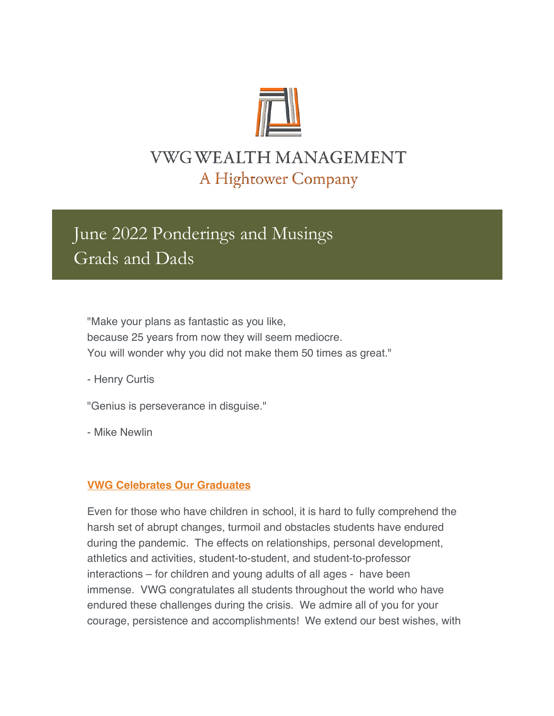

# **VWG WEALTH MANAGEMENT** A Hightower Company

June 2022 Ponderings and Musings Grads and Dads

"Make your plans as fantastic as you like, because 25 years from now they will seem mediocre. You will wonder why you did not make them 50 times as great."

- Henry Curtis
- "Genius is perseverance in disguise."
- Mike Newlin

### **VWG Celebrates Our Graduates**

Even for those who have children in school, it is hard to fully comprehend the harsh set of abrupt changes, turmoil and obstacles students have endured during the pandemic. The effects on relationships, personal development, athletics and activities, student-to-student, and student-to-professor interactions – for children and young adults of all ages - have been immense. VWG congratulates all students throughout the world who have endured these challenges during the crisis. We admire all of you for your courage, persistence and accomplishments! We extend our best wishes, with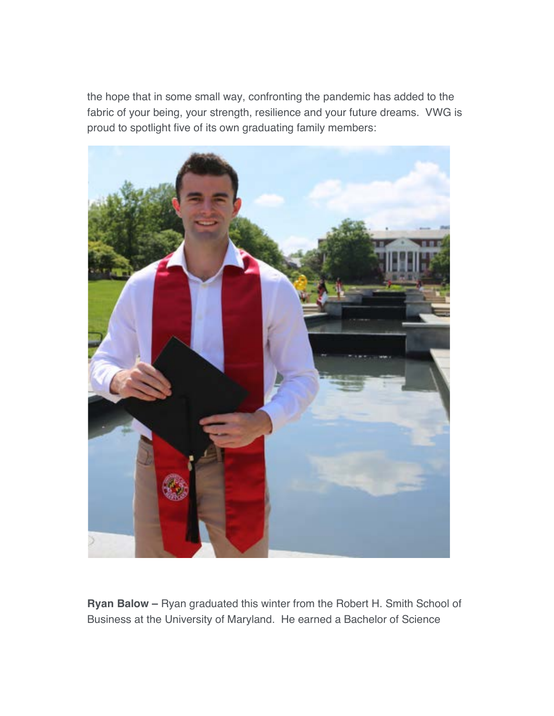the hope that in some small way, confronting the pandemic has added to the fabric of your being, your strength, resilience and your future dreams. VWG is proud to spotlight five of its own graduating family members:



**Ryan Balow –** Ryan graduated this winter from the Robert H. Smith School of Business at the University of Maryland. He earned a Bachelor of Science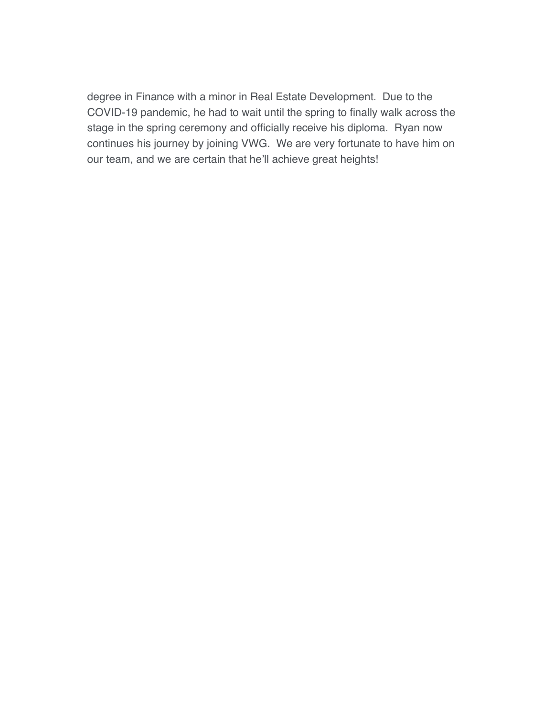degree in Finance with a minor in Real Estate Development. Due to the COVID-19 pandemic, he had to wait until the spring to finally walk across the stage in the spring ceremony and officially receive his diploma. Ryan now continues his journey by joining VWG. We are very fortunate to have him on our team, and we are certain that he'll achieve great heights!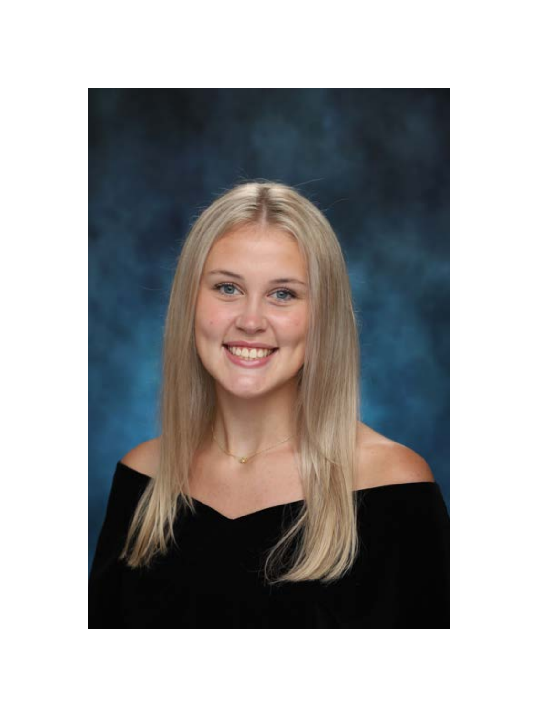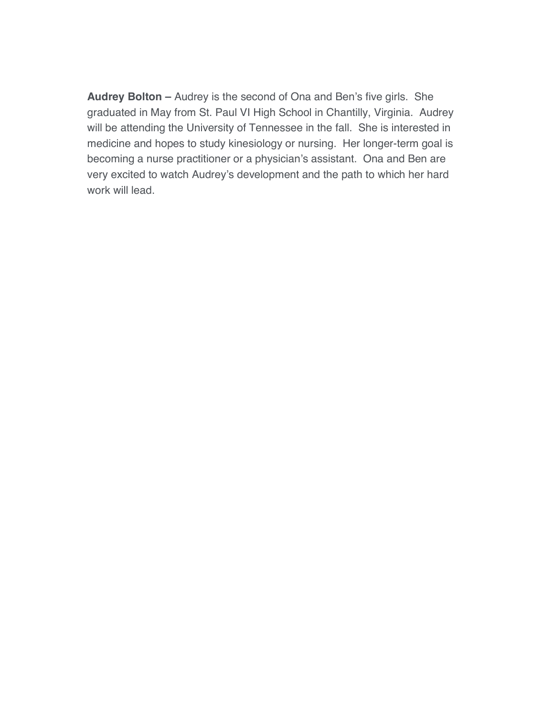**Audrey Bolton –** Audrey is the second of Ona and Ben's five girls. She graduated in May from St. Paul VI High School in Chantilly, Virginia. Audrey will be attending the University of Tennessee in the fall. She is interested in medicine and hopes to study kinesiology or nursing. Her longer-term goal is becoming a nurse practitioner or a physician's assistant. Ona and Ben are very excited to watch Audrey's development and the path to which her hard work will lead.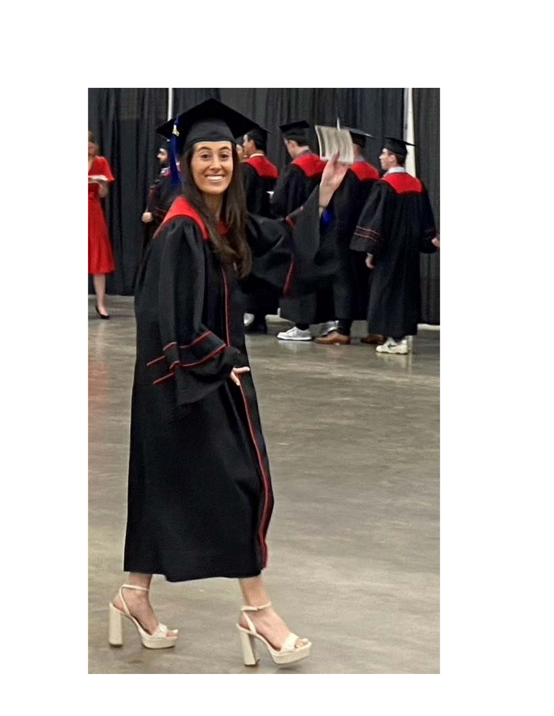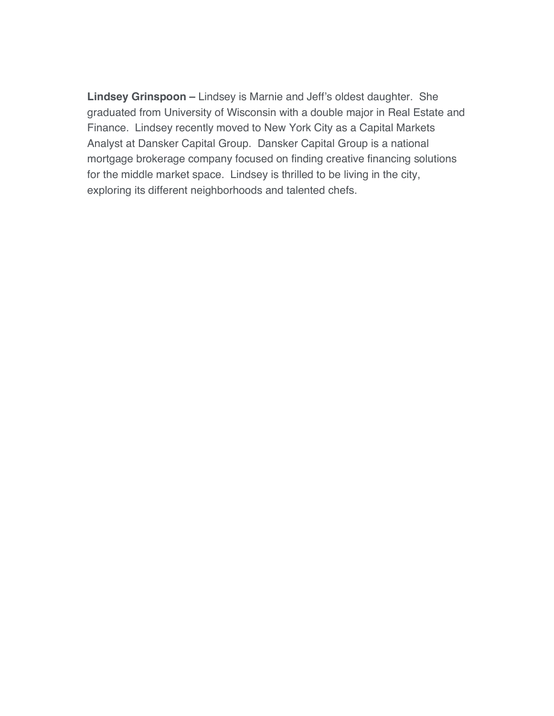**Lindsey Grinspoon –** Lindsey is Marnie and Jeff's oldest daughter. She graduated from University of Wisconsin with a double major in Real Estate and Finance. Lindsey recently moved to New York City as a Capital Markets Analyst at Dansker Capital Group. Dansker Capital Group is a national mortgage brokerage company focused on finding creative financing solutions for the middle market space. Lindsey is thrilled to be living in the city, exploring its different neighborhoods and talented chefs.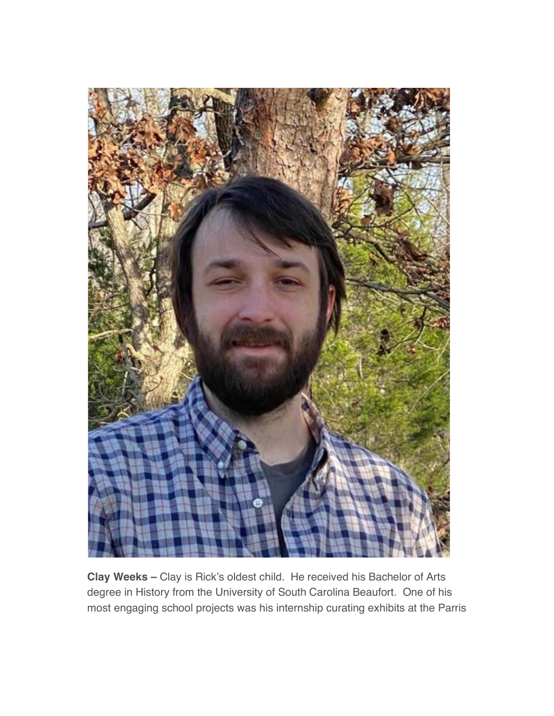

**Clay Weeks –** Clay is Rick's oldest child. He received his Bachelor of Arts degree in History from the University of South Carolina Beaufort. One of his most engaging school projects was his internship curating exhibits at the Parris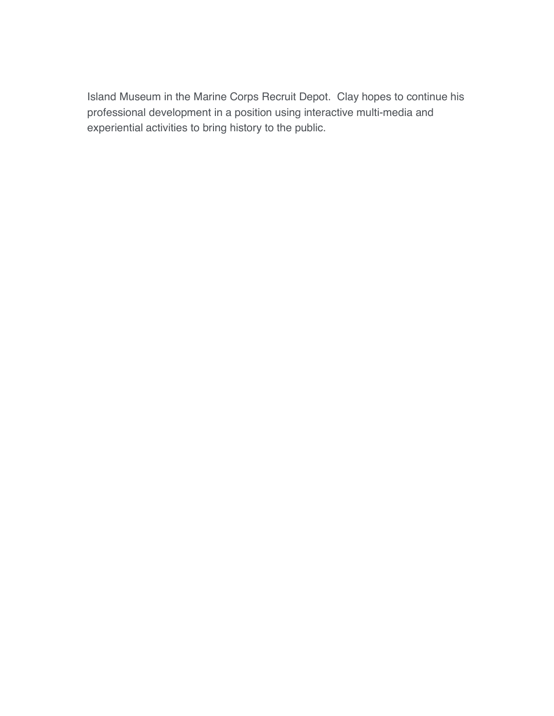Island Museum in the Marine Corps Recruit Depot. Clay hopes to continue his professional development in a position using interactive multi-media and experiential activities to bring history to the public.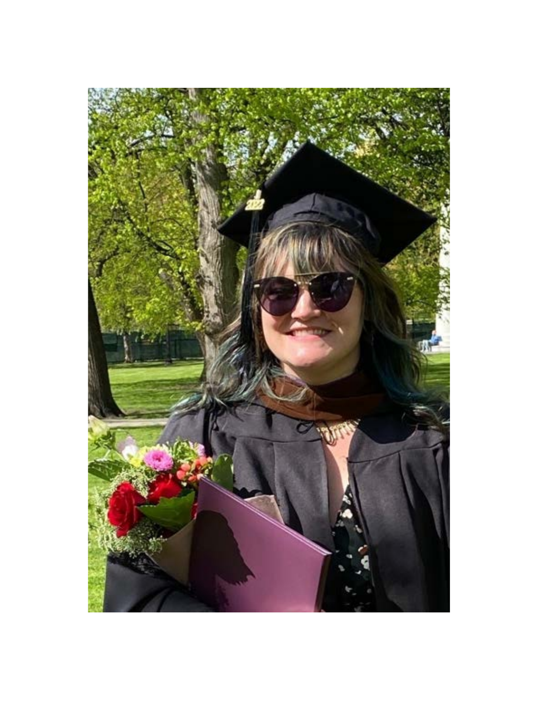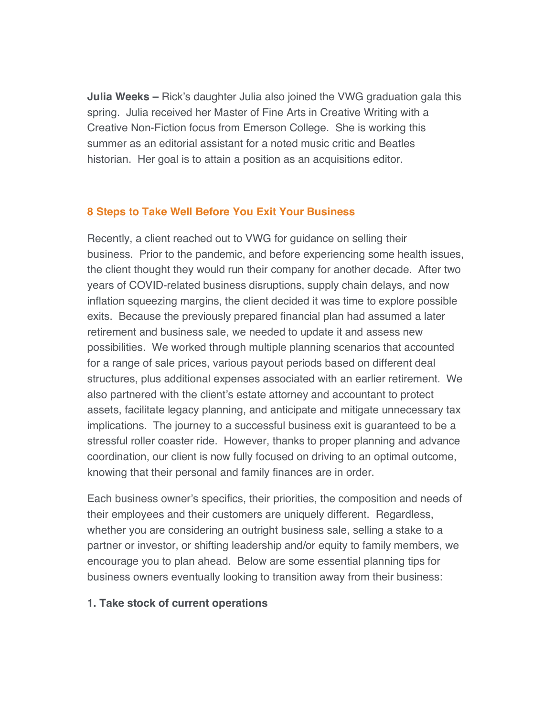**Julia Weeks –** Rick's daughter Julia also joined the VWG graduation gala this spring. Julia received her Master of Fine Arts in Creative Writing with a Creative Non-Fiction focus from Emerson College. She is working this summer as an editorial assistant for a noted music critic and Beatles historian. Her goal is to attain a position as an acquisitions editor.

#### **8 Steps to Take Well Before You Exit Your Business**

Recently, a client reached out to VWG for guidance on selling their business. Prior to the pandemic, and before experiencing some health issues, the client thought they would run their company for another decade. After two years of COVID-related business disruptions, supply chain delays, and now inflation squeezing margins, the client decided it was time to explore possible exits. Because the previously prepared financial plan had assumed a later retirement and business sale, we needed to update it and assess new possibilities. We worked through multiple planning scenarios that accounted for a range of sale prices, various payout periods based on different deal structures, plus additional expenses associated with an earlier retirement. We also partnered with the client's estate attorney and accountant to protect assets, facilitate legacy planning, and anticipate and mitigate unnecessary tax implications. The journey to a successful business exit is guaranteed to be a stressful roller coaster ride. However, thanks to proper planning and advance coordination, our client is now fully focused on driving to an optimal outcome, knowing that their personal and family finances are in order.

Each business owner's specifics, their priorities, the composition and needs of their employees and their customers are uniquely different. Regardless, whether you are considering an outright business sale, selling a stake to a partner or investor, or shifting leadership and/or equity to family members, we encourage you to plan ahead. Below are some essential planning tips for business owners eventually looking to transition away from their business:

#### **1. Take stock of current operations**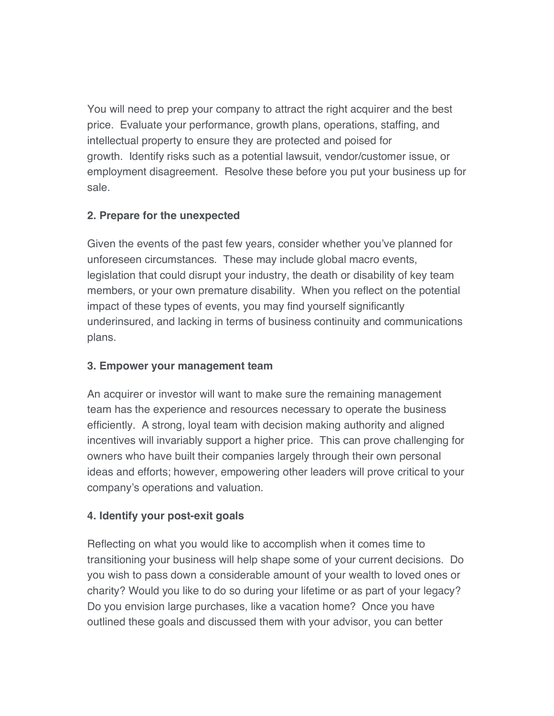You will need to prep your company to attract the right acquirer and the best price. Evaluate your performance, growth plans, operations, staffing, and intellectual property to ensure they are protected and poised for growth. Identify risks such as a potential lawsuit, vendor/customer issue, or employment disagreement. Resolve these before you put your business up for sale.

## **2. Prepare for the unexpected**

Given the events of the past few years, consider whether you've planned for unforeseen circumstances. These may include global macro events, legislation that could disrupt your industry, the death or disability of key team members, or your own premature disability. When you reflect on the potential impact of these types of events, you may find yourself significantly underinsured, and lacking in terms of business continuity and communications plans.

## **3. Empower your management team**

An acquirer or investor will want to make sure the remaining management team has the experience and resources necessary to operate the business efficiently. A strong, loyal team with decision making authority and aligned incentives will invariably support a higher price. This can prove challenging for owners who have built their companies largely through their own personal ideas and efforts; however, empowering other leaders will prove critical to your company's operations and valuation.

## **4. Identify your post-exit goals**

Reflecting on what you would like to accomplish when it comes time to transitioning your business will help shape some of your current decisions. Do you wish to pass down a considerable amount of your wealth to loved ones or charity? Would you like to do so during your lifetime or as part of your legacy? Do you envision large purchases, like a vacation home? Once you have outlined these goals and discussed them with your advisor, you can better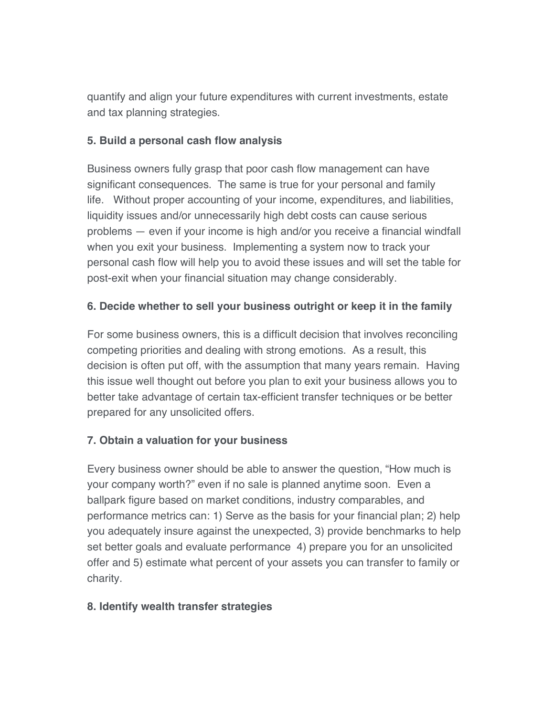quantify and align your future expenditures with current investments, estate and tax planning strategies.

## **5. Build a personal cash flow analysis**

Business owners fully grasp that poor cash flow management can have significant consequences. The same is true for your personal and family life. Without proper accounting of your income, expenditures, and liabilities, liquidity issues and/or unnecessarily high debt costs can cause serious problems — even if your income is high and/or you receive a financial windfall when you exit your business. Implementing a system now to track your personal cash flow will help you to avoid these issues and will set the table for post-exit when your financial situation may change considerably.

## **6. Decide whether to sell your business outright or keep it in the family**

For some business owners, this is a difficult decision that involves reconciling competing priorities and dealing with strong emotions. As a result, this decision is often put off, with the assumption that many years remain. Having this issue well thought out before you plan to exit your business allows you to better take advantage of certain tax-efficient transfer techniques or be better prepared for any unsolicited offers.

## **7. Obtain a valuation for your business**

Every business owner should be able to answer the question, "How much is your company worth?" even if no sale is planned anytime soon. Even a ballpark figure based on market conditions, industry comparables, and performance metrics can: 1) Serve as the basis for your financial plan; 2) help you adequately insure against the unexpected, 3) provide benchmarks to help set better goals and evaluate performance 4) prepare you for an unsolicited offer and 5) estimate what percent of your assets you can transfer to family or charity.

### **8. Identify wealth transfer strategies**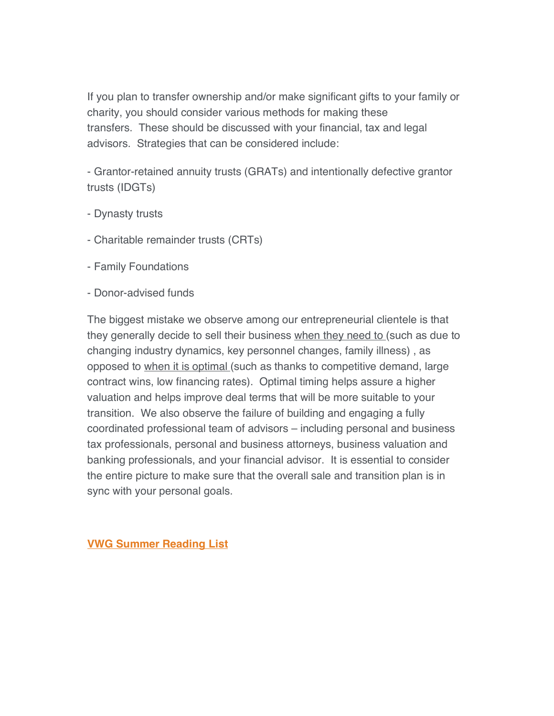If you plan to transfer ownership and/or make significant gifts to your family or charity, you should consider various methods for making these transfers. These should be discussed with your financial, tax and legal advisors. Strategies that can be considered include:

- Grantor-retained annuity trusts (GRATs) and intentionally defective grantor trusts (IDGTs)

- Dynasty trusts
- Charitable remainder trusts (CRTs)
- Family Foundations
- Donor-advised funds

The biggest mistake we observe among our entrepreneurial clientele is that they generally decide to sell their business when they need to (such as due to changing industry dynamics, key personnel changes, family illness) , as opposed to when it is optimal (such as thanks to competitive demand, large contract wins, low financing rates). Optimal timing helps assure a higher valuation and helps improve deal terms that will be more suitable to your transition. We also observe the failure of building and engaging a fully coordinated professional team of advisors – including personal and business tax professionals, personal and business attorneys, business valuation and banking professionals, and your financial advisor. It is essential to consider the entire picture to make sure that the overall sale and transition plan is in sync with your personal goals.

#### **VWG Summer Reading List**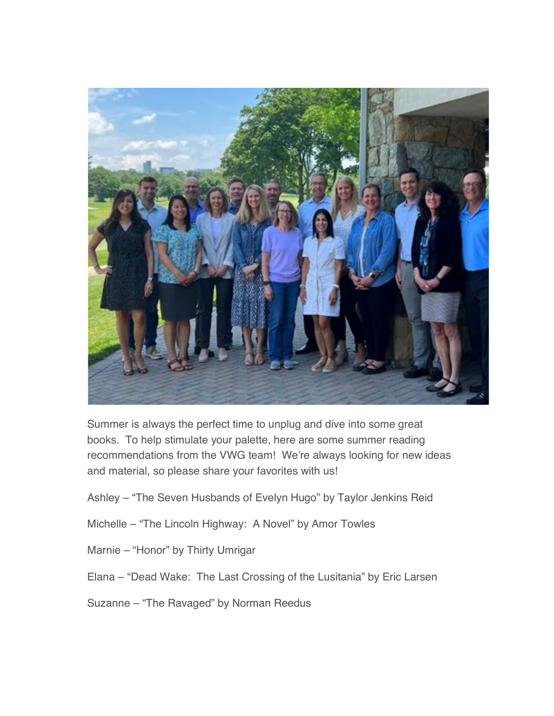

Summer is always the perfect time to unplug and dive into some great books. To help stimulate your palette, here are some summer reading recommendations from the VWG team! We're always looking for new ideas and material, so please share your favorites with us!

- Ashley "The Seven Husbands of Evelyn Hugo" by Taylor Jenkins Reid
- Michelle "The Lincoln Highway: A Novel" by Amor Towles
- Marnie "Honor" by Thirty Umrigar
- Elana "Dead Wake: The Last Crossing of the Lusitania" by Eric Larsen

Suzanne – "The Ravaged" by Norman Reedus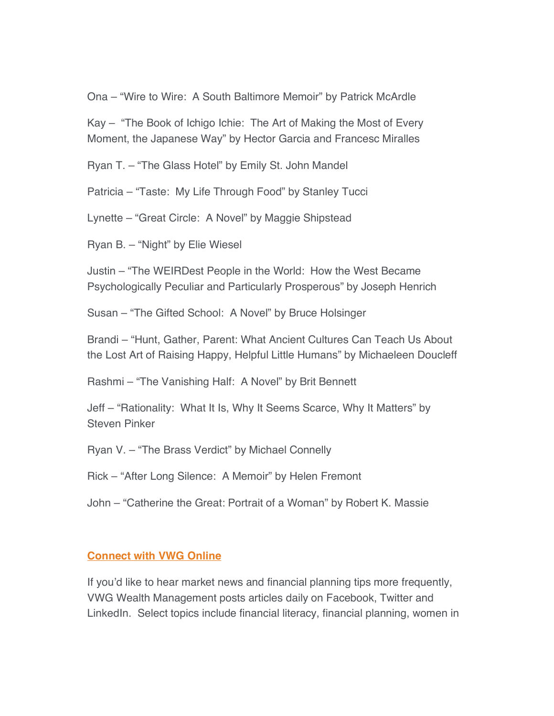Ona – "Wire to Wire: A South Baltimore Memoir" by Patrick McArdle

Kay – "The Book of Ichigo Ichie: The Art of Making the Most of Every Moment, the Japanese Way" by Hector Garcia and Francesc Miralles

Ryan T. – "The Glass Hotel" by Emily St. John Mandel

Patricia – "Taste: My Life Through Food" by Stanley Tucci

Lynette – "Great Circle: A Novel" by Maggie Shipstead

Ryan B. – "Night" by Elie Wiesel

Justin – "The WEIRDest People in the World: How the West Became Psychologically Peculiar and Particularly Prosperous" by Joseph Henrich

Susan – "The Gifted School: A Novel" by Bruce Holsinger

Brandi – "Hunt, Gather, Parent: What Ancient Cultures Can Teach Us About the Lost Art of Raising Happy, Helpful Little Humans" by Michaeleen Doucleff

Rashmi – "The Vanishing Half: A Novel" by Brit Bennett

Jeff – "Rationality: What It Is, Why It Seems Scarce, Why It Matters" by Steven Pinker

Ryan V. – "The Brass Verdict" by Michael Connelly

Rick – "After Long Silence: A Memoir" by Helen Fremont

John – "Catherine the Great: Portrait of a Woman" by Robert K. Massie

#### **Connect with VWG Online**

If you'd like to hear market news and financial planning tips more frequently, VWG Wealth Management posts articles daily on Facebook, Twitter and LinkedIn. Select topics include financial literacy, financial planning, women in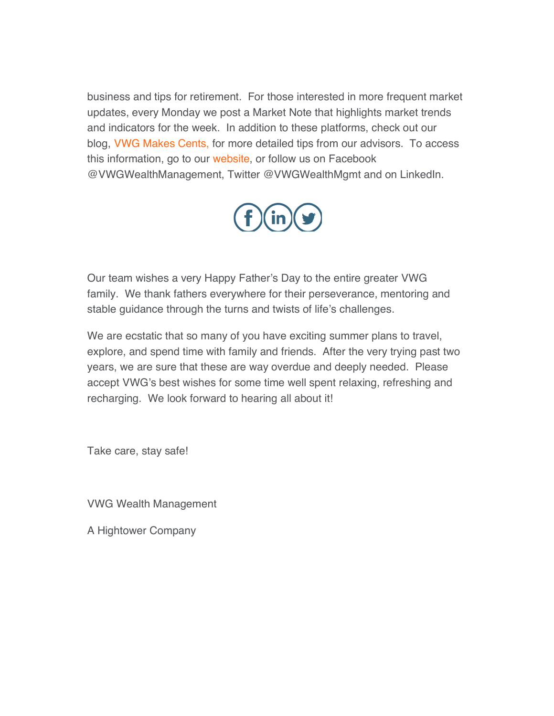business and tips for retirement. For those interested in more frequent market updates, every Monday we post a Market Note that highlights market trends and indicators for the week. In addition to these platforms, check out our blog, VWG Makes Cents, for more detailed tips from our advisors. To access this information, go to our website, or follow us on Facebook @VWGWealthManagement, Twitter @VWGWealthMgmt and on LinkedIn.



Our team wishes a very Happy Father's Day to the entire greater VWG family. We thank fathers everywhere for their perseverance, mentoring and stable guidance through the turns and twists of life's challenges.

We are ecstatic that so many of you have exciting summer plans to travel, explore, and spend time with family and friends. After the very trying past two years, we are sure that these are way overdue and deeply needed. Please accept VWG's best wishes for some time well spent relaxing, refreshing and recharging. We look forward to hearing all about it!

Take care, stay safe!

VWG Wealth Management

A Hightower Company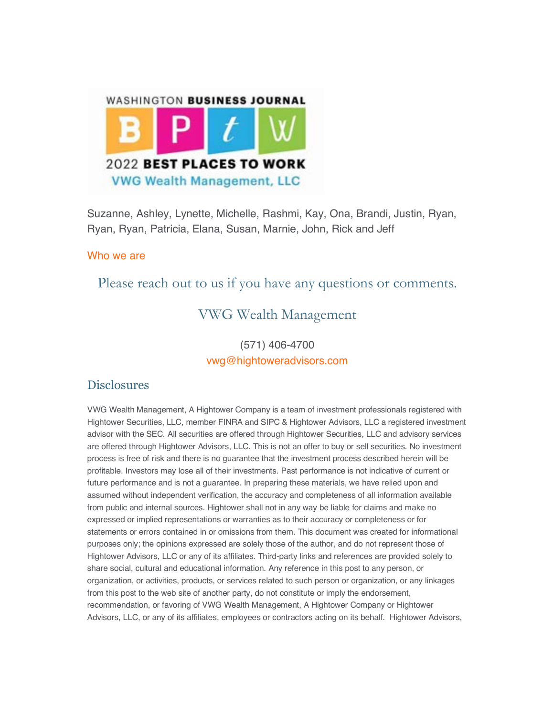

Suzanne, Ashley, Lynette, Michelle, Rashmi, Kay, Ona, Brandi, Justin, Ryan, Ryan, Ryan, Patricia, Elana, Susan, Marnie, John, Rick and Jeff

#### Who we are

# Please reach out to us if you have any questions or comments.

# VWG Wealth Management

(571) 406-4700 vwg@hightoweradvisors.com

#### **Disclosures**

VWG Wealth Management, A Hightower Company is a team of investment professionals registered with Hightower Securities, LLC, member FINRA and SIPC & Hightower Advisors, LLC a registered investment advisor with the SEC. All securities are offered through Hightower Securities, LLC and advisory services are offered through Hightower Advisors, LLC. This is not an offer to buy or sell securities. No investment process is free of risk and there is no guarantee that the investment process described herein will be profitable. Investors may lose all of their investments. Past performance is not indicative of current or future performance and is not a guarantee. In preparing these materials, we have relied upon and assumed without independent verification, the accuracy and completeness of all information available from public and internal sources. Hightower shall not in any way be liable for claims and make no expressed or implied representations or warranties as to their accuracy or completeness or for statements or errors contained in or omissions from them. This document was created for informational purposes only; the opinions expressed are solely those of the author, and do not represent those of Hightower Advisors, LLC or any of its affiliates. Third-party links and references are provided solely to share social, cultural and educational information. Any reference in this post to any person, or organization, or activities, products, or services related to such person or organization, or any linkages from this post to the web site of another party, do not constitute or imply the endorsement, recommendation, or favoring of VWG Wealth Management, A Hightower Company or Hightower Advisors, LLC, or any of its affiliates, employees or contractors acting on its behalf. Hightower Advisors,